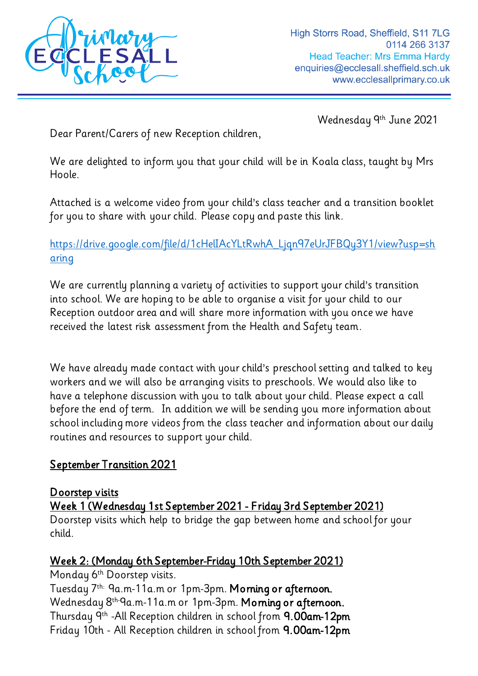

Wednesday 9 th June 2021

Dear Parent/Carers of new Reception children,

We are delighted to inform you that your child will be in Koala class, taught by Mrs Hoole.

Attached is a welcome video from your child's class teacher and a transition booklet for you to share with your child. Please copy and paste this link.

[https://drive.google.com/file/d/1cHelIAcYLtRwhA\\_Ljqn97eUrJFBQy3Y1/view?usp=sh](https://drive.google.com/file/d/1cHelIAcYLtRwhA_Ljqn97eUrJFBQy3Y1/view?usp=sharing) [aring](https://drive.google.com/file/d/1cHelIAcYLtRwhA_Ljqn97eUrJFBQy3Y1/view?usp=sharing)

We are currently planning a variety of activities to support your child's transition into school. We are hoping to be able to organise a visit for your child to our Reception outdoor area and will share more information with you once we have received the latest risk assessment from the Health and Safety team.

We have already made contact with your child's preschool setting and talked to key workers and we will also be arranging visits to preschools. We would also like to have a telephone discussion with you to talk about your child. Please expect a call before the end of term. In addition we will be sending you more information about school including more videos from the class teacher and information about our daily routines and resources to support your child.

## September Transition 2021

## Doorstep visits

Week 1 (Wednesday 1st September 2021 - Friday 3rd September 2021)

Doorstep visits which help to bridge the gap between home and school for your child.

## Week 2: (Monday 6th September-Friday 10th September 2021)

Monday 6<sup>th</sup> Doorstep visits.

Tuesday 7th: 9a.m-11a.m or 1pm-3pm. Morning or afternoon. Wednesday 8th-9a.m-11a.m or 1pm-3pm. Morning or afternoon. Thursday 9th -All Reception children in school from 9.00am-12pm Friday 10th - All Reception children in school from 9.00am-12pm